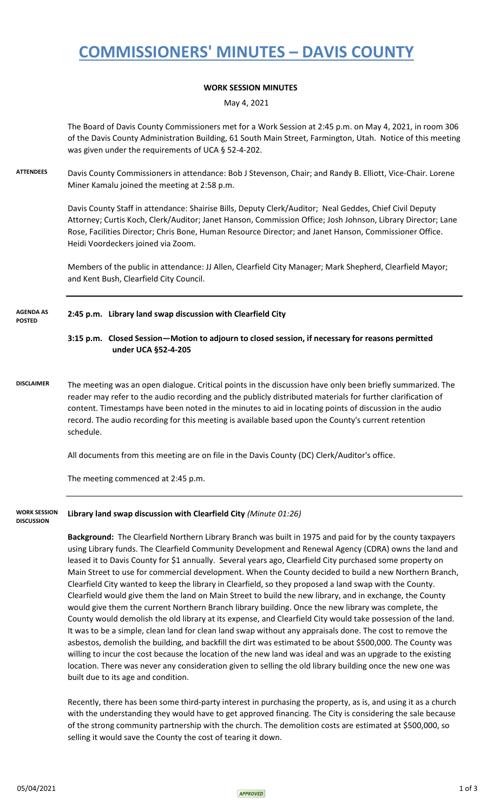## **COMMISSIONERS' MINUTES – DAVIS COUNTY**

### **WORK SESSION MINUTES**

May 4, 2021

The Board of Davis County Commissioners met for a Work Session at 2:45 p.m. on May 4, 2021, in room 306 of the Davis County Administration Building, 61 South Main Street, Farmington, Utah. Notice of this meeting was given under the requirements of UCA § 52-4-202.

**ATTENDEES** Davis County Commissioners in attendance: Bob J Stevenson, Chair; and Randy B. Elliott, Vice-Chair. Lorene Miner Kamalu joined the meeting at 2:58 p.m.

> Davis County Staff in attendance: Shairise Bills, Deputy Clerk/Auditor; Neal Geddes, Chief Civil Deputy Attorney; Curtis Koch, Clerk/Auditor; Janet Hanson, Commission Office; Josh Johnson, Library Director; Lane Rose, Facilities Director; Chris Bone, Human Resource Director; and Janet Hanson, Commissioner Office. Heidi Voordeckers joined via Zoom.

Members of the public in attendance: JJ Allen, Clearfield City Manager; Mark Shepherd, Clearfield Mayor; and Kent Bush, Clearfield City Council.

#### **2:45 p.m. Library land swap discussion with Clearfield City AGENDA AS POSTED**

**3:15 p.m. Closed Session—Motion to adjourn to closed session, if necessary for reasons permitted under UCA §52-4-205**

**DISCLAIMER** The meeting was an open dialogue. Critical points in the discussion have only been briefly summarized. The reader may refer to the audio recording and the publicly distributed materials for further clarification of content. Timestamps have been noted in the minutes to aid in locating points of discussion in the audio record. The audio recording for this meeting is available based upon the County's current retention schedule.

All documents from this meeting are on file in the Davis County (DC) Clerk/Auditor's office.

The meeting commenced at 2:45 p.m.

**Library land swap discussion with Clearfield City** *(Minute 01:26)* **WORK SESSION DISCUSSION**

> **Background:** The Clearfield Northern Library Branch was built in 1975 and paid for by the county taxpayers using Library funds. The Clearfield Community Development and Renewal Agency (CDRA) owns the land and leased it to Davis County for \$1 annually. Several years ago, Clearfield City purchased some property on Main Street to use for commercial development. When the County decided to build a new Northern Branch, Clearfield City wanted to keep the library in Clearfield, so they proposed a land swap with the County. Clearfield would give them the land on Main Street to build the new library, and in exchange, the County would give them the current Northern Branch library building. Once the new library was complete, the County would demolish the old library at its expense, and Clearfield City would take possession of the land. It was to be a simple, clean land for clean land swap without any appraisals done. The cost to remove the asbestos, demolish the building, and backfill the dirt was estimated to be about \$500,000. The County was willing to incur the cost because the location of the new land was ideal and was an upgrade to the existing location. There was never any consideration given to selling the old library building once the new one was built due to its age and condition.

> Recently, there has been some third-party interest in purchasing the property, as is, and using it as a church with the understanding they would have to get approved financing. The City is considering the sale because of the strong community partnership with the church. The demolition costs are estimated at \$500,000, so selling it would save the County the cost of tearing it down.

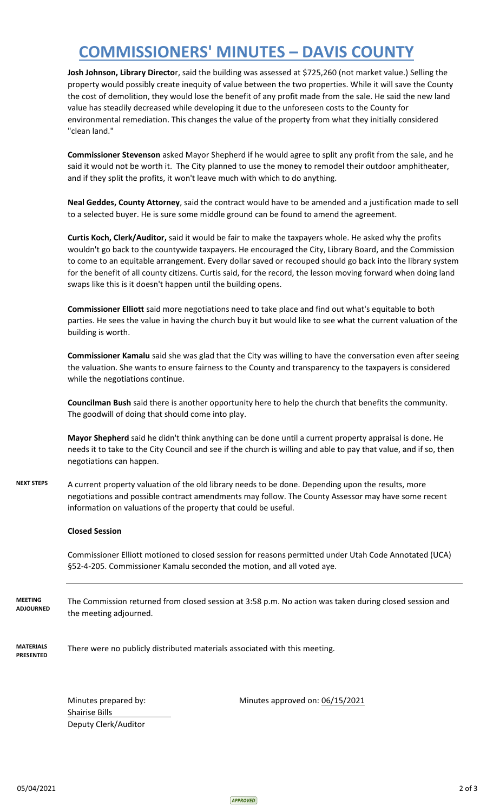## **COMMISSIONERS' MINUTES – DAVIS COUNTY**

**Josh Johnson, Library Directo**r, said the building was assessed at \$725,260 (not market value.) Selling the property would possibly create inequity of value between the two properties. While it will save the County the cost of demolition, they would lose the benefit of any profit made from the sale. He said the new land value has steadily decreased while developing it due to the unforeseen costs to the County for environmental remediation. This changes the value of the property from what they initially considered "clean land."

**Commissioner Stevenson** asked Mayor Shepherd if he would agree to split any profit from the sale, and he said it would not be worth it. The City planned to use the money to remodel their outdoor amphitheater, and if they split the profits, it won't leave much with which to do anything.

**Neal Geddes, County Attorney**, said the contract would have to be amended and a justification made to sell to a selected buyer. He is sure some middle ground can be found to amend the agreement.

**Curtis Koch, Clerk/Auditor,** said it would be fair to make the taxpayers whole. He asked why the profits wouldn't go back to the countywide taxpayers. He encouraged the City, Library Board, and the Commission to come to an equitable arrangement. Every dollar saved or recouped should go back into the library system for the benefit of all county citizens. Curtis said, for the record, the lesson moving forward when doing land swaps like this is it doesn't happen until the building opens.

**Commissioner Elliott** said more negotiations need to take place and find out what's equitable to both parties. He sees the value in having the church buy it but would like to see what the current valuation of the building is worth.

**Commissioner Kamalu** said she was glad that the City was willing to have the conversation even after seeing the valuation. She wants to ensure fairness to the County and transparency to the taxpayers is considered while the negotiations continue.

**Councilman Bush** said there is another opportunity here to help the church that benefits the community. The goodwill of doing that should come into play.

**Mayor Shepherd** said he didn't think anything can be done until a current property appraisal is done. He needs it to take to the City Council and see if the church is willing and able to pay that value, and if so, then negotiations can happen.

**NEXT STEPS** A current property valuation of the old library needs to be done. Depending upon the results, more negotiations and possible contract amendments may follow. The County Assessor may have some recent information on valuations of the property that could be useful.

#### **Closed Session**

Commissioner Elliott motioned to closed session for reasons permitted under Utah Code Annotated (UCA) §52-4-205. Commissioner Kamalu seconded the motion, and all voted aye.

The Commission returned from closed session at 3:58 p.m. No action was taken during closed session and the meeting adjourned. **MEETING ADJOURNED**

**MATERIALS PRESENTED** There were no publicly distributed materials associated with this meeting.

> Shairise Bills Deputy Clerk/Auditor

Minutes prepared by: Minutes approved on: 06/15/2021